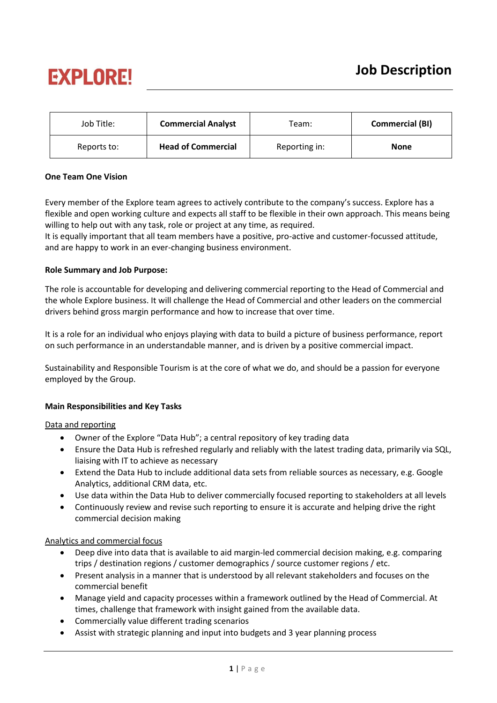# **EXPLORE!**

| Job Title:  | <b>Commercial Analyst</b> | Team:         | <b>Commercial (BI)</b> |
|-------------|---------------------------|---------------|------------------------|
| Reports to: | <b>Head of Commercial</b> | Reporting in: | <b>None</b>            |

# **One Team One Vision**

Every member of the Explore team agrees to actively contribute to the company's success. Explore has a flexible and open working culture and expects all staff to be flexible in their own approach. This means being willing to help out with any task, role or project at any time, as required.

It is equally important that all team members have a positive, pro-active and customer-focussed attitude, and are happy to work in an ever-changing business environment.

# **Role Summary and Job Purpose:**

The role is accountable for developing and delivering commercial reporting to the Head of Commercial and the whole Explore business. It will challenge the Head of Commercial and other leaders on the commercial drivers behind gross margin performance and how to increase that over time.

It is a role for an individual who enjoys playing with data to build a picture of business performance, report on such performance in an understandable manner, and is driven by a positive commercial impact.

Sustainability and Responsible Tourism is at the core of what we do, and should be a passion for everyone employed by the Group.

### **Main Responsibilities and Key Tasks**

### Data and reporting

- Owner of the Explore "Data Hub"; a central repository of key trading data
- Ensure the Data Hub is refreshed regularly and reliably with the latest trading data, primarily via SQL, liaising with IT to achieve as necessary
- Extend the Data Hub to include additional data sets from reliable sources as necessary, e.g. Google Analytics, additional CRM data, etc.
- Use data within the Data Hub to deliver commercially focused reporting to stakeholders at all levels
- Continuously review and revise such reporting to ensure it is accurate and helping drive the right commercial decision making

### Analytics and commercial focus

- Deep dive into data that is available to aid margin-led commercial decision making, e.g. comparing trips / destination regions / customer demographics / source customer regions / etc.
- Present analysis in a manner that is understood by all relevant stakeholders and focuses on the commercial benefit
- Manage yield and capacity processes within a framework outlined by the Head of Commercial. At times, challenge that framework with insight gained from the available data.
- Commercially value different trading scenarios
- Assist with strategic planning and input into budgets and 3 year planning process